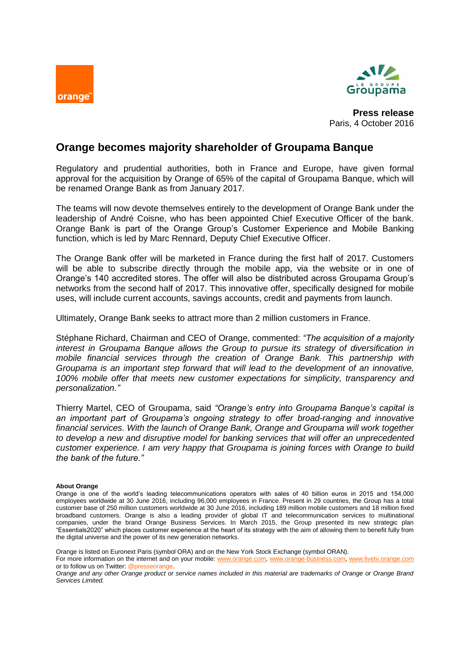



**Press release** Paris, 4 October 2016

# **Orange becomes majority shareholder of Groupama Banque**

Regulatory and prudential authorities, both in France and Europe, have given formal approval for the acquisition by Orange of 65% of the capital of Groupama Banque, which will be renamed Orange Bank as from January 2017.

The teams will now devote themselves entirely to the development of Orange Bank under the leadership of André Coisne, who has been appointed Chief Executive Officer of the bank. Orange Bank is part of the Orange Group's Customer Experience and Mobile Banking function, which is led by Marc Rennard, Deputy Chief Executive Officer.

The Orange Bank offer will be marketed in France during the first half of 2017. Customers will be able to subscribe directly through the mobile app, via the website or in one of Orange's 140 accredited stores. The offer will also be distributed across Groupama Group's networks from the second half of 2017. This innovative offer, specifically designed for mobile uses, will include current accounts, savings accounts, credit and payments from launch.

Ultimately, Orange Bank seeks to attract more than 2 million customers in France.

Stéphane Richard, Chairman and CEO of Orange, commented: *"The acquisition of a majority interest in Groupama Banque allows the Group to pursue its strategy of diversification in mobile financial services through the creation of Orange Bank. This partnership with Groupama is an important step forward that will lead to the development of an innovative, 100% mobile offer that meets new customer expectations for simplicity, transparency and personalization."*

Thierry Martel, CEO of Groupama, said *"Orange's entry into Groupama Banque's capital is an important part of Groupama's ongoing strategy to offer broad-ranging and innovative financial services. With the launch of Orange Bank, Orange and Groupama will work together to develop a new and disruptive model for banking services that will offer an unprecedented customer experience. I am very happy that Groupama is joining forces with Orange to build the bank of the future."*

## **About Orange**

Orange is listed on Euronext Paris (symbol ORA) and on the New York Stock Exchange (symbol ORAN).<br>For more information on the internet and on vour mobile: www.orange.com. www.orange-business.com, www.livetv.orange.com For more information on the internet and on your mobile: [www.orange.com,](http://www.orange.com/) [www.orange-business.com,](http://www.orange-business.com/) www.orange-b or to follow us on Twitter: @presseorange.

Orange is one of the world's leading telecommunications operators with sales of 40 billion euros in 2015 and 154,000 employees worldwide at 30 June 2016, including 96,000 employees in France. Present in 29 countries, the Group has a total customer base of 250 million customers worldwide at 30 June 2016, including 189 million mobile customers and 18 million fixed broadband customers. Orange is also a leading provider of global IT and telecommunication services to multinational companies, under the brand Orange Business Services. In March 2015, the Group presented its new strategic plan "Essentials2020" which places customer experience at the heart of its strategy with the aim of allowing them to benefit fully from the digital universe and the power of its new generation networks.

*Orange and any other Orange product or service names included in this material are trademarks of Orange or Orange Brand Services Limited.*